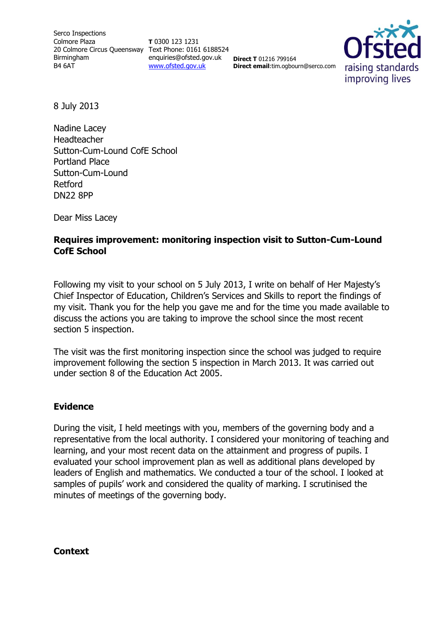Serco Inspections Colmore Plaza 20 Colmore Circus Queensway Text Phone: 0161 6188524 Birmingham B4 6AT

**T** 0300 123 1231 enquiries@ofsted.gov.uk [www.ofsted.gov.uk](http://www.ofsted.gov.uk/)

**Direct T** 01216 799164 **Direct email**:tim.ogbourn@serco.com



8 July 2013

Nadine Lacey Headteacher Sutton-Cum-Lound CofE School Portland Place Sutton-Cum-Lound Retford DN22 8PP

Dear Miss Lacey

## **Requires improvement: monitoring inspection visit to Sutton-Cum-Lound CofE School**

Following my visit to your school on 5 July 2013, I write on behalf of Her Majesty's Chief Inspector of Education, Children's Services and Skills to report the findings of my visit. Thank you for the help you gave me and for the time you made available to discuss the actions you are taking to improve the school since the most recent section 5 inspection.

The visit was the first monitoring inspection since the school was judged to require improvement following the section 5 inspection in March 2013. It was carried out under section 8 of the Education Act 2005.

## **Evidence**

During the visit, I held meetings with you, members of the governing body and a representative from the local authority. I considered your monitoring of teaching and learning, and your most recent data on the attainment and progress of pupils. I evaluated your school improvement plan as well as additional plans developed by leaders of English and mathematics. We conducted a tour of the school. I looked at samples of pupils' work and considered the quality of marking. I scrutinised the minutes of meetings of the governing body.

**Context**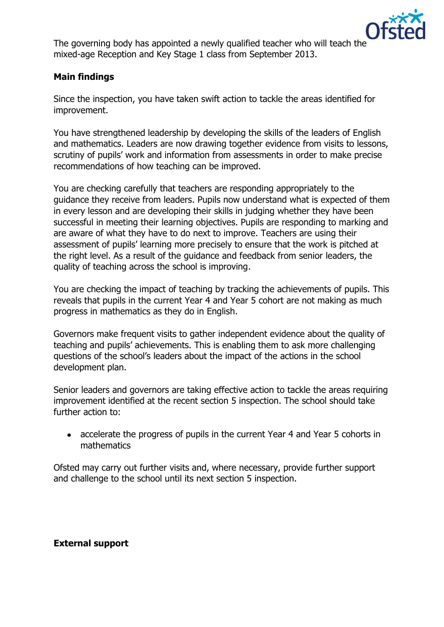

The governing body has appointed a newly qualified teacher who will teach the mixed-age Reception and Key Stage 1 class from September 2013.

## **Main findings**

Since the inspection, you have taken swift action to tackle the areas identified for improvement.

You have strengthened leadership by developing the skills of the leaders of English and mathematics. Leaders are now drawing together evidence from visits to lessons, scrutiny of pupils' work and information from assessments in order to make precise recommendations of how teaching can be improved.

You are checking carefully that teachers are responding appropriately to the guidance they receive from leaders. Pupils now understand what is expected of them in every lesson and are developing their skills in judging whether they have been successful in meeting their learning objectives. Pupils are responding to marking and are aware of what they have to do next to improve. Teachers are using their assessment of pupils' learning more precisely to ensure that the work is pitched at the right level. As a result of the guidance and feedback from senior leaders, the quality of teaching across the school is improving.

You are checking the impact of teaching by tracking the achievements of pupils. This reveals that pupils in the current Year 4 and Year 5 cohort are not making as much progress in mathematics as they do in English.

Governors make frequent visits to gather independent evidence about the quality of teaching and pupils' achievements. This is enabling them to ask more challenging questions of the school's leaders about the impact of the actions in the school development plan.

Senior leaders and governors are taking effective action to tackle the areas requiring improvement identified at the recent section 5 inspection. The school should take further action to:

• accelerate the progress of pupils in the current Year 4 and Year 5 cohorts in mathematics

Ofsted may carry out further visits and, where necessary, provide further support and challenge to the school until its next section 5 inspection.

**External support**